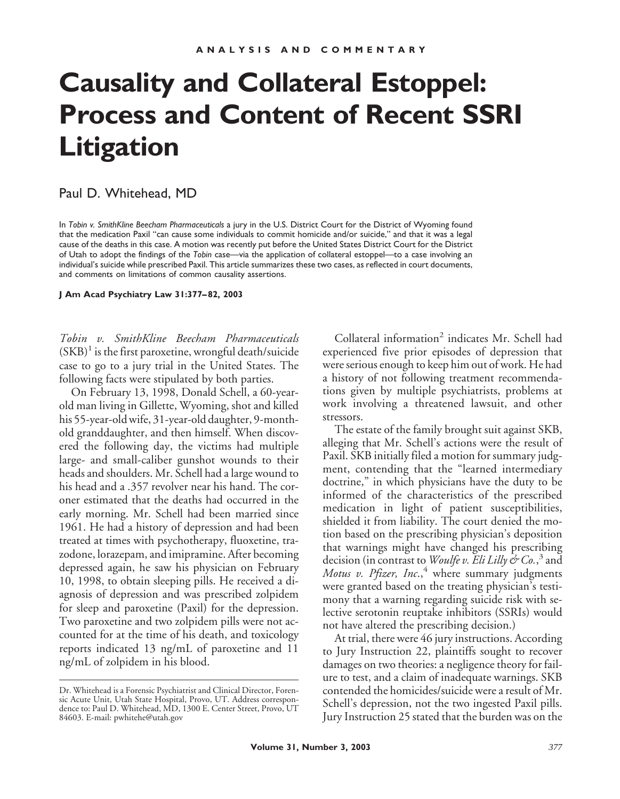# **Causality and Collateral Estoppel: Process and Content of Recent SSRI Litigation**

### Paul D. Whitehead, MD

In *Tobin v. SmithKline Beecham Pharmaceuticals* a jury in the U.S. District Court for the District of Wyoming found that the medication Paxil "can cause some individuals to commit homicide and/or suicide," and that it was a legal cause of the deaths in this case. A motion was recently put before the United States District Court for the District of Utah to adopt the findings of the *Tobin* case—via the application of collateral estoppel—to a case involving an individual's suicide while prescribed Paxil. This article summarizes these two cases, as reflected in court documents, and comments on limitations of common causality assertions.

**J Am Acad Psychiatry Law 31:377–82, 2003**

*Tobin v. SmithKline Beecham Pharmaceuticals*  $(SKB)^1$  is the first paroxetine, wrongful death/suicide case to go to a jury trial in the United States. The following facts were stipulated by both parties.

On February 13, 1998, Donald Schell, a 60-yearold man living in Gillette, Wyoming, shot and killed his 55-year-old wife, 31-year-old daughter, 9-monthold granddaughter, and then himself. When discovered the following day, the victims had multiple large- and small-caliber gunshot wounds to their heads and shoulders. Mr. Schell had a large wound to his head and a .357 revolver near his hand. The coroner estimated that the deaths had occurred in the early morning. Mr. Schell had been married since 1961. He had a history of depression and had been treated at times with psychotherapy, fluoxetine, trazodone, lorazepam, and imipramine. After becoming depressed again, he saw his physician on February 10, 1998, to obtain sleeping pills. He received a diagnosis of depression and was prescribed zolpidem for sleep and paroxetine (Paxil) for the depression. Two paroxetine and two zolpidem pills were not accounted for at the time of his death, and toxicology reports indicated 13 ng/mL of paroxetine and 11 ng/mL of zolpidem in his blood.

Collateral information<sup>2</sup> indicates Mr. Schell had experienced five prior episodes of depression that were serious enough to keep him out of work. He had a history of not following treatment recommendations given by multiple psychiatrists, problems at work involving a threatened lawsuit, and other stressors.

The estate of the family brought suit against SKB, alleging that Mr. Schell's actions were the result of Paxil. SKB initially filed a motion for summary judgment, contending that the "learned intermediary doctrine," in which physicians have the duty to be informed of the characteristics of the prescribed medication in light of patient susceptibilities, shielded it from liability. The court denied the motion based on the prescribing physician's deposition that warnings might have changed his prescribing decision (in contrast to *Woulfe v. Eli Lilly & Co.*, <sup>3</sup> and *Motus v. Pfizer, Inc.*,<sup>4</sup> where summary judgments were granted based on the treating physician's testimony that a warning regarding suicide risk with selective serotonin reuptake inhibitors (SSRIs) would not have altered the prescribing decision.)

At trial, there were 46 jury instructions. According to Jury Instruction 22, plaintiffs sought to recover damages on two theories: a negligence theory for failure to test, and a claim of inadequate warnings. SKB contended the homicides/suicide were a result of Mr. Schell's depression, not the two ingested Paxil pills. Jury Instruction 25 stated that the burden was on the

Dr. Whitehead is a Forensic Psychiatrist and Clinical Director, Forensic Acute Unit, Utah State Hospital, Provo, UT. Address correspondence to: Paul D. Whitehead, MD, 1300 E. Center Street, Provo, UT 84603. E-mail: pwhitehe@utah.gov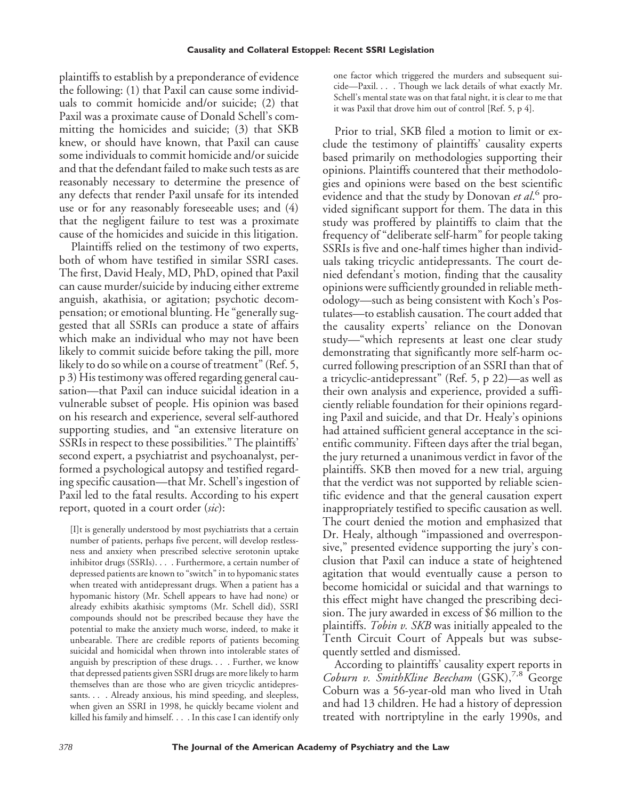plaintiffs to establish by a preponderance of evidence the following: (1) that Paxil can cause some individuals to commit homicide and/or suicide; (2) that Paxil was a proximate cause of Donald Schell's committing the homicides and suicide; (3) that SKB knew, or should have known, that Paxil can cause some individuals to commit homicide and/or suicide and that the defendant failed to make such tests as are reasonably necessary to determine the presence of any defects that render Paxil unsafe for its intended use or for any reasonably foreseeable uses; and (4) that the negligent failure to test was a proximate cause of the homicides and suicide in this litigation.

Plaintiffs relied on the testimony of two experts, both of whom have testified in similar SSRI cases. The first, David Healy, MD, PhD, opined that Paxil can cause murder/suicide by inducing either extreme anguish, akathisia, or agitation; psychotic decompensation; or emotional blunting. He "generally suggested that all SSRIs can produce a state of affairs which make an individual who may not have been likely to commit suicide before taking the pill, more likely to do so while on a course of treatment" (Ref. 5, p 3) His testimony was offered regarding general causation—that Paxil can induce suicidal ideation in a vulnerable subset of people. His opinion was based on his research and experience, several self-authored supporting studies, and "an extensive literature on SSRIs in respect to these possibilities." The plaintiffs' second expert, a psychiatrist and psychoanalyst, performed a psychological autopsy and testified regarding specific causation—that Mr. Schell's ingestion of Paxil led to the fatal results. According to his expert report, quoted in a court order (*sic*):

[I]t is generally understood by most psychiatrists that a certain number of patients, perhaps five percent, will develop restlessness and anxiety when prescribed selective serotonin uptake inhibitor drugs (SSRIs). . . . Furthermore, a certain number of depressed patients are known to "switch" in to hypomanic states when treated with antidepressant drugs. When a patient has a hypomanic history (Mr. Schell appears to have had none) or already exhibits akathisic symptoms (Mr. Schell did), SSRI compounds should not be prescribed because they have the potential to make the anxiety much worse, indeed, to make it unbearable. There are credible reports of patients becoming suicidal and homicidal when thrown into intolerable states of anguish by prescription of these drugs. . . . Further, we know that depressed patients given SSRI drugs are more likely to harm themselves than are those who are given tricyclic antidepressants. . . . Already anxious, his mind speeding, and sleepless, when given an SSRI in 1998, he quickly became violent and killed his family and himself. . . . In this case I can identify only one factor which triggered the murders and subsequent suicide—Paxil. . . . Though we lack details of what exactly Mr. Schell's mental state was on that fatal night, it is clear to me that it was Paxil that drove him out of control [Ref. 5, p 4].

Prior to trial, SKB filed a motion to limit or exclude the testimony of plaintiffs' causality experts based primarily on methodologies supporting their opinions. Plaintiffs countered that their methodologies and opinions were based on the best scientific evidence and that the study by Donovan *et al*. <sup>6</sup> provided significant support for them. The data in this study was proffered by plaintiffs to claim that the frequency of "deliberate self-harm" for people taking SSRIs is five and one-half times higher than individuals taking tricyclic antidepressants. The court denied defendant's motion, finding that the causality opinions were sufficiently grounded in reliable methodology—such as being consistent with Koch's Postulates—to establish causation. The court added that the causality experts' reliance on the Donovan study*—*"which represents at least one clear study demonstrating that significantly more self-harm occurred following prescription of an SSRI than that of a tricyclic-antidepressant" (Ref. 5, p 22)—as well as their own analysis and experience, provided a sufficiently reliable foundation for their opinions regarding Paxil and suicide, and that Dr. Healy's opinions had attained sufficient general acceptance in the scientific community. Fifteen days after the trial began, the jury returned a unanimous verdict in favor of the plaintiffs. SKB then moved for a new trial, arguing that the verdict was not supported by reliable scientific evidence and that the general causation expert inappropriately testified to specific causation as well. The court denied the motion and emphasized that Dr. Healy, although "impassioned and overresponsive," presented evidence supporting the jury's conclusion that Paxil can induce a state of heightened agitation that would eventually cause a person to become homicidal or suicidal and that warnings to this effect might have changed the prescribing decision. The jury awarded in excess of \$6 million to the plaintiffs. *Tobin v. SKB* was initially appealed to the Tenth Circuit Court of Appeals but was subsequently settled and dismissed.

According to plaintiffs' causality expert reports in *Coburn v. SmithKline Beecham* (GSK),7,8 George Coburn was a 56-year-old man who lived in Utah and had 13 children. He had a history of depression treated with nortriptyline in the early 1990s, and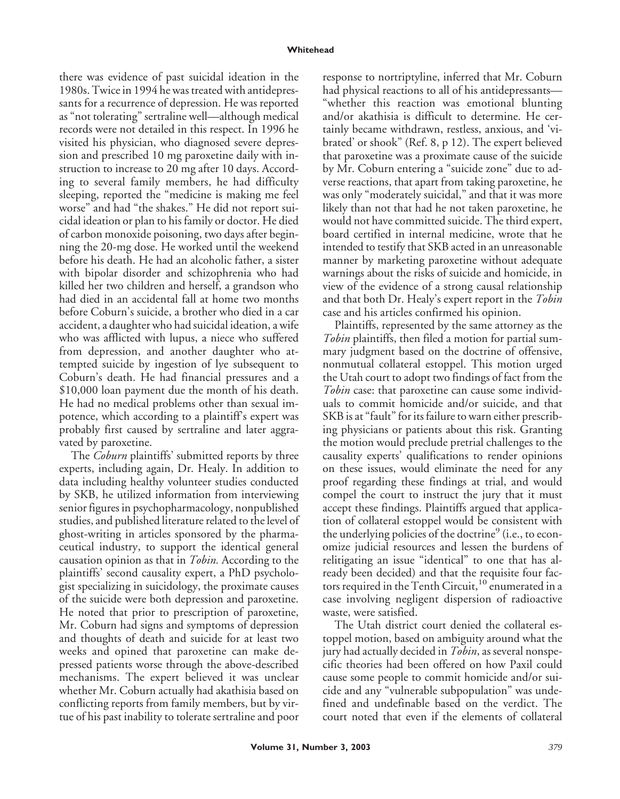#### **Whitehead**

there was evidence of past suicidal ideation in the 1980s. Twice in 1994 he was treated with antidepressants for a recurrence of depression. He was reported as "not tolerating" sertraline well—although medical records were not detailed in this respect. In 1996 he visited his physician, who diagnosed severe depression and prescribed 10 mg paroxetine daily with instruction to increase to 20 mg after 10 days. According to several family members, he had difficulty sleeping, reported the "medicine is making me feel worse" and had "the shakes." He did not report suicidal ideation or plan to his family or doctor. He died of carbon monoxide poisoning, two days after beginning the 20-mg dose. He worked until the weekend before his death. He had an alcoholic father, a sister with bipolar disorder and schizophrenia who had killed her two children and herself, a grandson who had died in an accidental fall at home two months before Coburn's suicide, a brother who died in a car accident, a daughter who had suicidal ideation, a wife who was afflicted with lupus, a niece who suffered from depression, and another daughter who attempted suicide by ingestion of lye subsequent to Coburn's death. He had financial pressures and a \$10,000 loan payment due the month of his death. He had no medical problems other than sexual impotence, which according to a plaintiff's expert was probably first caused by sertraline and later aggravated by paroxetine.

The *Coburn* plaintiffs' submitted reports by three experts, including again, Dr. Healy. In addition to data including healthy volunteer studies conducted by SKB, he utilized information from interviewing senior figures in psychopharmacology, nonpublished studies, and published literature related to the level of ghost-writing in articles sponsored by the pharmaceutical industry, to support the identical general causation opinion as that in *Tobin.* According to the plaintiffs' second causality expert, a PhD psychologist specializing in suicidology, the proximate causes of the suicide were both depression and paroxetine. He noted that prior to prescription of paroxetine, Mr. Coburn had signs and symptoms of depression and thoughts of death and suicide for at least two weeks and opined that paroxetine can make depressed patients worse through the above-described mechanisms. The expert believed it was unclear whether Mr. Coburn actually had akathisia based on conflicting reports from family members, but by virtue of his past inability to tolerate sertraline and poor

response to nortriptyline, inferred that Mr. Coburn had physical reactions to all of his antidepressants— "whether this reaction was emotional blunting and/or akathisia is difficult to determine. He certainly became withdrawn, restless, anxious, and 'vibrated' or shook" (Ref. 8, p 12). The expert believed that paroxetine was a proximate cause of the suicide by Mr. Coburn entering a "suicide zone" due to adverse reactions, that apart from taking paroxetine, he was only "moderately suicidal," and that it was more likely than not that had he not taken paroxetine, he would not have committed suicide. The third expert, board certified in internal medicine, wrote that he intended to testify that SKB acted in an unreasonable manner by marketing paroxetine without adequate warnings about the risks of suicide and homicide, in view of the evidence of a strong causal relationship and that both Dr. Healy's expert report in the *Tobin* case and his articles confirmed his opinion.

Plaintiffs, represented by the same attorney as the *Tobin* plaintiffs, then filed a motion for partial summary judgment based on the doctrine of offensive, nonmutual collateral estoppel. This motion urged the Utah court to adopt two findings of fact from the *Tobin* case: that paroxetine can cause some individuals to commit homicide and/or suicide, and that SKB is at "fault" for its failure to warn either prescribing physicians or patients about this risk. Granting the motion would preclude pretrial challenges to the causality experts' qualifications to render opinions on these issues, would eliminate the need for any proof regarding these findings at trial, and would compel the court to instruct the jury that it must accept these findings. Plaintiffs argued that application of collateral estoppel would be consistent with the underlying policies of the doctrine<sup>9</sup> (i.e., to economize judicial resources and lessen the burdens of relitigating an issue "identical" to one that has already been decided) and that the requisite four factors required in the Tenth Circuit,<sup>10</sup> enumerated in a case involving negligent dispersion of radioactive waste, were satisfied.

The Utah district court denied the collateral estoppel motion, based on ambiguity around what the jury had actually decided in *Tobin*, as several nonspecific theories had been offered on how Paxil could cause some people to commit homicide and/or suicide and any "vulnerable subpopulation" was undefined and undefinable based on the verdict. The court noted that even if the elements of collateral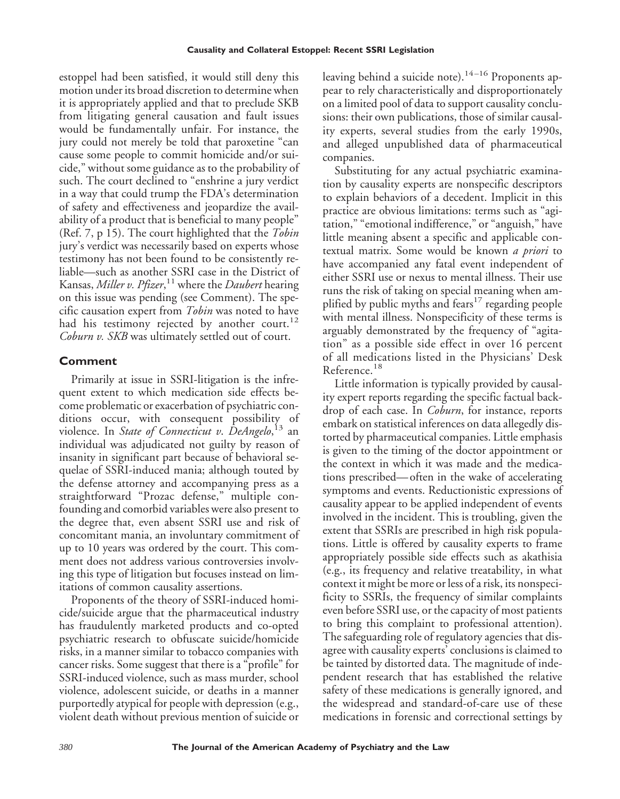estoppel had been satisfied, it would still deny this motion under its broad discretion to determine when it is appropriately applied and that to preclude SKB from litigating general causation and fault issues would be fundamentally unfair. For instance, the jury could not merely be told that paroxetine "can cause some people to commit homicide and/or suicide," without some guidance as to the probability of such. The court declined to "enshrine a jury verdict in a way that could trump the FDA's determination of safety and effectiveness and jeopardize the availability of a product that is beneficial to many people" (Ref. 7, p 15). The court highlighted that the *Tobin* jury's verdict was necessarily based on experts whose testimony has not been found to be consistently reliable—such as another SSRI case in the District of Kansas, *Miller v. Pfizer*, <sup>11</sup> where the *Daubert* hearing on this issue was pending (see Comment). The specific causation expert from *Tobin* was noted to have had his testimony rejected by another court.<sup>12</sup> *Coburn v. SKB* was ultimately settled out of court.

## **Comment**

Primarily at issue in SSRI-litigation is the infrequent extent to which medication side effects become problematic or exacerbation of psychiatric conditions occur, with consequent possibility of violence. In *State of Connecticut v*. *DeAngelo*, <sup>13</sup> an individual was adjudicated not guilty by reason of insanity in significant part because of behavioral sequelae of SSRI-induced mania; although touted by the defense attorney and accompanying press as a straightforward "Prozac defense," multiple confounding and comorbid variables were also present to the degree that, even absent SSRI use and risk of concomitant mania, an involuntary commitment of up to 10 years was ordered by the court. This comment does not address various controversies involving this type of litigation but focuses instead on limitations of common causality assertions.

Proponents of the theory of SSRI-induced homicide/suicide argue that the pharmaceutical industry has fraudulently marketed products and co-opted psychiatric research to obfuscate suicide/homicide risks, in a manner similar to tobacco companies with cancer risks. Some suggest that there is a "profile" for SSRI-induced violence, such as mass murder, school violence, adolescent suicide, or deaths in a manner purportedly atypical for people with depression (e.g., violent death without previous mention of suicide or leaving behind a suicide note).<sup>14-16</sup> Proponents appear to rely characteristically and disproportionately on a limited pool of data to support causality conclusions: their own publications, those of similar causality experts, several studies from the early 1990s, and alleged unpublished data of pharmaceutical companies.

Substituting for any actual psychiatric examination by causality experts are nonspecific descriptors to explain behaviors of a decedent. Implicit in this practice are obvious limitations: terms such as "agitation," "emotional indifference," or "anguish," have little meaning absent a specific and applicable contextual matrix. Some would be known *a priori* to have accompanied any fatal event independent of either SSRI use or nexus to mental illness. Their use runs the risk of taking on special meaning when amplified by public myths and fears<sup>17</sup> regarding people with mental illness. Nonspecificity of these terms is arguably demonstrated by the frequency of "agitation" as a possible side effect in over 16 percent of all medications listed in the Physicians' Desk Reference.<sup>18</sup>

Little information is typically provided by causality expert reports regarding the specific factual backdrop of each case. In *Coburn*, for instance, reports embark on statistical inferences on data allegedly distorted by pharmaceutical companies. Little emphasis is given to the timing of the doctor appointment or the context in which it was made and the medications prescribed—often in the wake of accelerating symptoms and events. Reductionistic expressions of causality appear to be applied independent of events involved in the incident. This is troubling, given the extent that SSRIs are prescribed in high risk populations. Little is offered by causality experts to frame appropriately possible side effects such as akathisia (e.g., its frequency and relative treatability, in what context it might be more or less of a risk, its nonspecificity to SSRIs, the frequency of similar complaints even before SSRI use, or the capacity of most patients to bring this complaint to professional attention). The safeguarding role of regulatory agencies that disagree with causality experts' conclusions is claimed to be tainted by distorted data. The magnitude of independent research that has established the relative safety of these medications is generally ignored, and the widespread and standard-of-care use of these medications in forensic and correctional settings by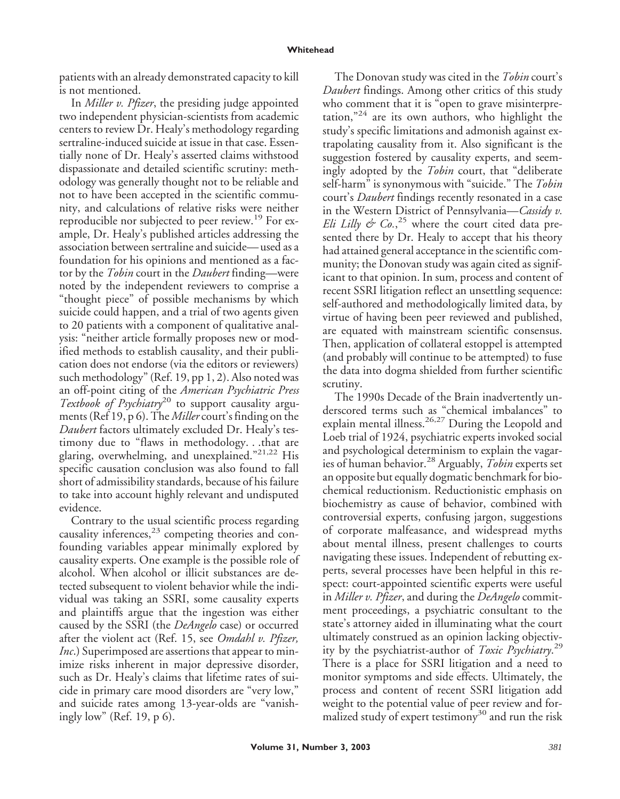patients with an already demonstrated capacity to kill is not mentioned.

In *Miller v. Pfizer*, the presiding judge appointed two independent physician-scientists from academic centers to review Dr. Healy's methodology regarding sertraline-induced suicide at issue in that case. Essentially none of Dr. Healy's asserted claims withstood dispassionate and detailed scientific scrutiny: methodology was generally thought not to be reliable and not to have been accepted in the scientific community, and calculations of relative risks were neither reproducible nor subjected to peer review.<sup>19</sup> For example, Dr. Healy's published articles addressing the association between sertraline and suicide—used as a foundation for his opinions and mentioned as a factor by the *Tobin* court in the *Daubert* finding—were noted by the independent reviewers to comprise a "thought piece" of possible mechanisms by which suicide could happen, and a trial of two agents given to 20 patients with a component of qualitative analysis: "neither article formally proposes new or modified methods to establish causality, and their publication does not endorse (via the editors or reviewers) such methodology" (Ref. 19, pp 1, 2). Also noted was an off-point citing of the *American Psychiatric Press Textbook of Psychiatry*<sup>20</sup> to support causality arguments (Ref 19, p 6). The *Miller* court's finding on the *Daubert* factors ultimately excluded Dr. Healy's testimony due to "flaws in methodology. . .that are glaring, overwhelming, and unexplained." 21,22 His specific causation conclusion was also found to fall short of admissibility standards, because of his failure to take into account highly relevant and undisputed evidence.

Contrary to the usual scientific process regarding causality inferences,<sup>23</sup> competing theories and confounding variables appear minimally explored by causality experts. One example is the possible role of alcohol. When alcohol or illicit substances are detected subsequent to violent behavior while the individual was taking an SSRI, some causality experts and plaintiffs argue that the ingestion was either caused by the SSRI (the *DeAngelo* case) or occurred after the violent act (Ref. 15, see *Omdahl v. Pfizer, Inc*.) Superimposed are assertions that appear to minimize risks inherent in major depressive disorder, such as Dr. Healy's claims that lifetime rates of suicide in primary care mood disorders are "very low," and suicide rates among 13-year-olds are "vanishingly low" (Ref. 19, p 6).

The Donovan study was cited in the *Tobin* court's *Daubert* findings. Among other critics of this study who comment that it is "open to grave misinterpretation," <sup>24</sup> are its own authors, who highlight the study's specific limitations and admonish against extrapolating causality from it. Also significant is the suggestion fostered by causality experts, and seemingly adopted by the *Tobin* court, that "deliberate self-harm" is synonymous with "suicide." The *Tobin* court's *Daubert* findings recently resonated in a case in the Western District of Pennsylvania—*Cassidy v. Eli Lilly & Co.*, <sup>25</sup> where the court cited data presented there by Dr. Healy to accept that his theory had attained general acceptance in the scientific community; the Donovan study was again cited as significant to that opinion. In sum, process and content of recent SSRI litigation reflect an unsettling sequence: self-authored and methodologically limited data, by virtue of having been peer reviewed and published, are equated with mainstream scientific consensus. Then, application of collateral estoppel is attempted (and probably will continue to be attempted) to fuse the data into dogma shielded from further scientific scrutiny.

The 1990s Decade of the Brain inadvertently underscored terms such as "chemical imbalances" to explain mental illness.<sup>26,27</sup> During the Leopold and Loeb trial of 1924, psychiatric experts invoked social and psychological determinism to explain the vagaries of human behavior.<sup>28</sup> Arguably, *Tobin* experts set an opposite but equally dogmatic benchmark for biochemical reductionism. Reductionistic emphasis on biochemistry as cause of behavior, combined with controversial experts, confusing jargon, suggestions of corporate malfeasance, and widespread myths about mental illness, present challenges to courts navigating these issues. Independent of rebutting experts, several processes have been helpful in this respect: court-appointed scientific experts were useful in *Miller v. Pfizer*, and during the *DeAngelo* commitment proceedings, a psychiatric consultant to the state's attorney aided in illuminating what the court ultimately construed as an opinion lacking objectivity by the psychiatrist-author of *Toxic Psychiatry*. 29 There is a place for SSRI litigation and a need to monitor symptoms and side effects. Ultimately, the process and content of recent SSRI litigation add weight to the potential value of peer review and formalized study of expert testimony<sup>30</sup> and run the risk